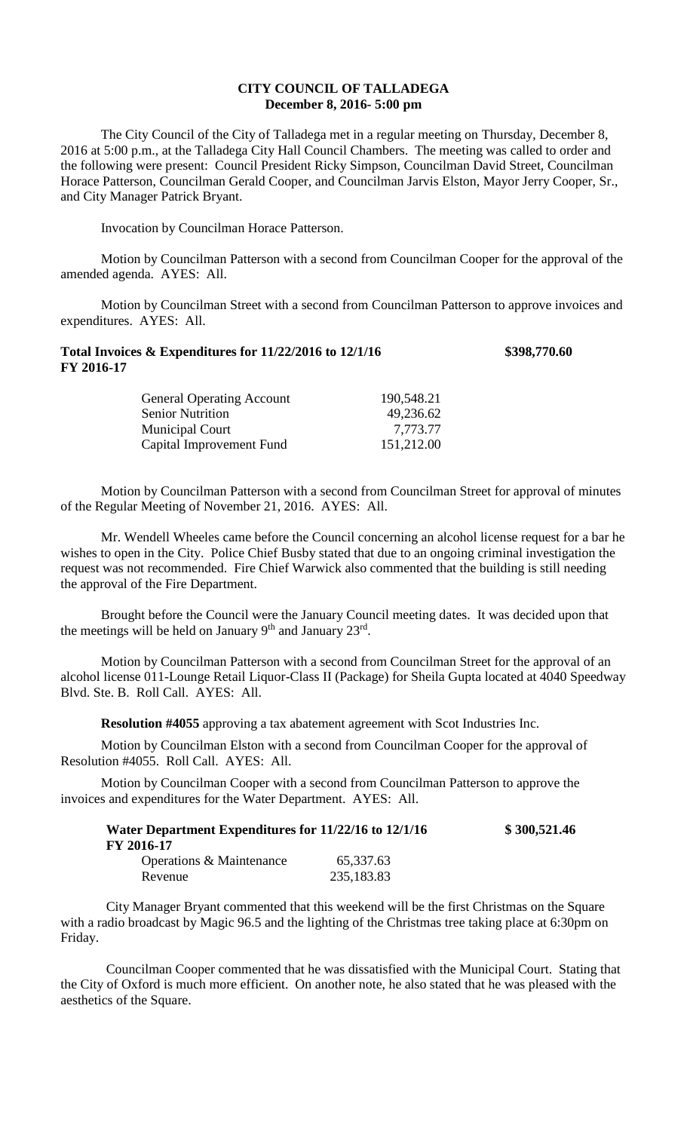## **CITY COUNCIL OF TALLADEGA December 8, 2016- 5:00 pm**

The City Council of the City of Talladega met in a regular meeting on Thursday, December 8, 2016 at 5:00 p.m., at the Talladega City Hall Council Chambers. The meeting was called to order and the following were present: Council President Ricky Simpson, Councilman David Street, Councilman Horace Patterson, Councilman Gerald Cooper, and Councilman Jarvis Elston, Mayor Jerry Cooper, Sr., and City Manager Patrick Bryant.

Invocation by Councilman Horace Patterson.

Motion by Councilman Patterson with a second from Councilman Cooper for the approval of the amended agenda. AYES: All.

Motion by Councilman Street with a second from Councilman Patterson to approve invoices and expenditures. AYES: All.

## **Total Invoices & Expenditures for 11/22/2016 to 12/1/16 \$398,770.60 FY 2016-17**

| <b>General Operating Account</b> | 190,548.21 |
|----------------------------------|------------|
| <b>Senior Nutrition</b>          | 49,236.62  |
| <b>Municipal Court</b>           | 7,773.77   |
| Capital Improvement Fund         | 151,212.00 |

Motion by Councilman Patterson with a second from Councilman Street for approval of minutes of the Regular Meeting of November 21, 2016. AYES: All.

Mr. Wendell Wheeles came before the Council concerning an alcohol license request for a bar he wishes to open in the City. Police Chief Busby stated that due to an ongoing criminal investigation the request was not recommended. Fire Chief Warwick also commented that the building is still needing the approval of the Fire Department.

Brought before the Council were the January Council meeting dates. It was decided upon that the meetings will be held on January 9<sup>th</sup> and January 23<sup>rd</sup>.

Motion by Councilman Patterson with a second from Councilman Street for the approval of an alcohol license 011-Lounge Retail Liquor-Class II (Package) for Sheila Gupta located at 4040 Speedway Blvd. Ste. B. Roll Call. AYES: All.

**Resolution #4055** approving a tax abatement agreement with Scot Industries Inc.

Motion by Councilman Elston with a second from Councilman Cooper for the approval of Resolution #4055. Roll Call. AYES: All.

Motion by Councilman Cooper with a second from Councilman Patterson to approve the invoices and expenditures for the Water Department. AYES: All.

| Water Department Expenditures for 11/22/16 to 12/1/16 |            | \$300,521.46 |
|-------------------------------------------------------|------------|--------------|
| FY 2016-17                                            |            |              |
| Operations & Maintenance                              | 65,337.63  |              |
| Revenue                                               | 235,183.83 |              |

City Manager Bryant commented that this weekend will be the first Christmas on the Square with a radio broadcast by Magic 96.5 and the lighting of the Christmas tree taking place at 6:30pm on Friday.

Councilman Cooper commented that he was dissatisfied with the Municipal Court. Stating that the City of Oxford is much more efficient. On another note, he also stated that he was pleased with the aesthetics of the Square.